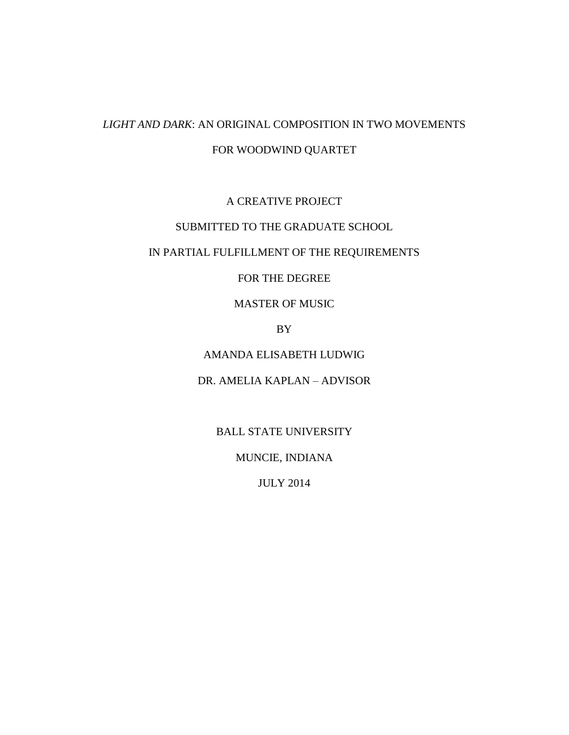# *LIGHT AND DARK*: AN ORIGINAL COMPOSITION IN TWO MOVEMENTS FOR WOODWIND QUARTET

# A CREATIVE PROJECT

# SUBMITTED TO THE GRADUATE SCHOOL

# IN PARTIAL FULFILLMENT OF THE REQUIREMENTS

#### FOR THE DEGREE

#### MASTER OF MUSIC

## BY

# AMANDA ELISABETH LUDWIG

# DR. AMELIA KAPLAN – ADVISOR

## BALL STATE UNIVERSITY

# MUNCIE, INDIANA

#### JULY 2014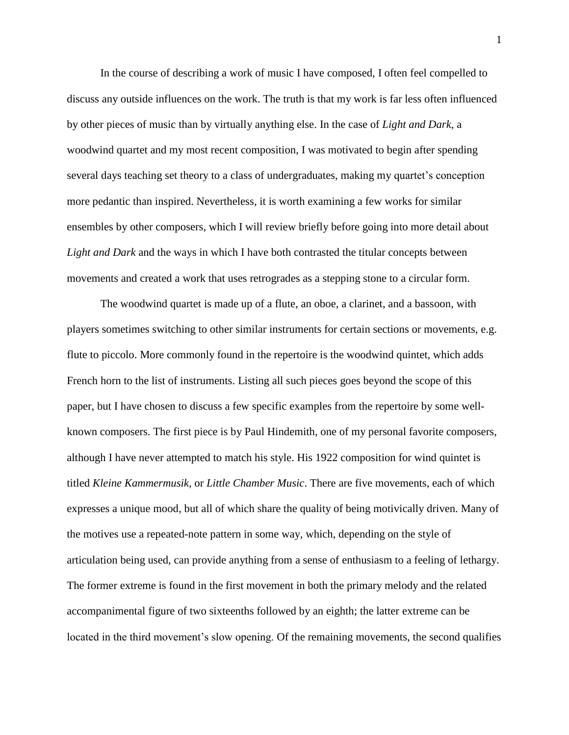In the course of describing a work of music I have composed, I often feel compelled to discuss any outside influences on the work. The truth is that my work is far less often influenced by other pieces of music than by virtually anything else. In the case of *Light and Dark*, a woodwind quartet and my most recent composition, I was motivated to begin after spending several days teaching set theory to a class of undergraduates, making my quartet's conception more pedantic than inspired. Nevertheless, it is worth examining a few works for similar ensembles by other composers, which I will review briefly before going into more detail about *Light and Dark* and the ways in which I have both contrasted the titular concepts between movements and created a work that uses retrogrades as a stepping stone to a circular form.

The woodwind quartet is made up of a flute, an oboe, a clarinet, and a bassoon, with players sometimes switching to other similar instruments for certain sections or movements, e.g. flute to piccolo. More commonly found in the repertoire is the woodwind quintet, which adds French horn to the list of instruments. Listing all such pieces goes beyond the scope of this paper, but I have chosen to discuss a few specific examples from the repertoire by some wellknown composers. The first piece is by Paul Hindemith, one of my personal favorite composers, although I have never attempted to match his style. His 1922 composition for wind quintet is titled *Kleine Kammermusik*, or *Little Chamber Music*. There are five movements, each of which expresses a unique mood, but all of which share the quality of being motivically driven. Many of the motives use a repeated-note pattern in some way, which, depending on the style of articulation being used, can provide anything from a sense of enthusiasm to a feeling of lethargy. The former extreme is found in the first movement in both the primary melody and the related accompanimental figure of two sixteenths followed by an eighth; the latter extreme can be located in the third movement's slow opening. Of the remaining movements, the second qualifies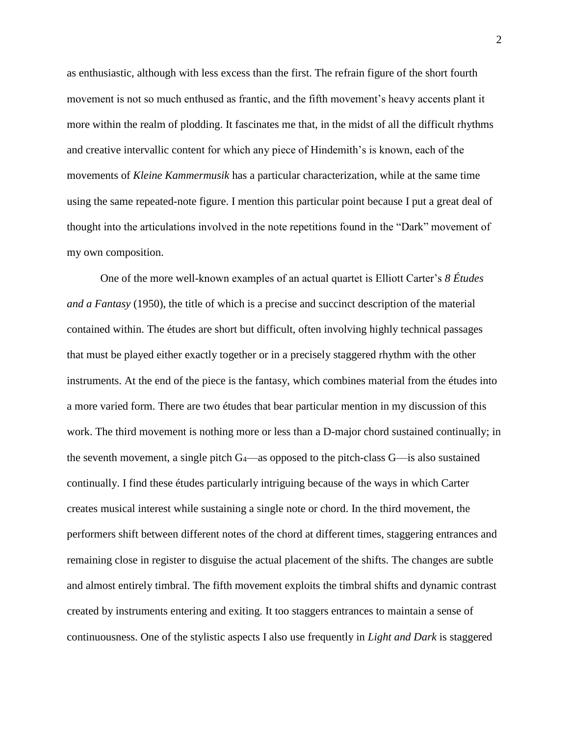as enthusiastic, although with less excess than the first. The refrain figure of the short fourth movement is not so much enthused as frantic, and the fifth movement's heavy accents plant it more within the realm of plodding. It fascinates me that, in the midst of all the difficult rhythms and creative intervallic content for which any piece of Hindemith's is known, each of the movements of *Kleine Kammermusik* has a particular characterization, while at the same time using the same repeated-note figure. I mention this particular point because I put a great deal of thought into the articulations involved in the note repetitions found in the "Dark" movement of my own composition.

One of the more well-known examples of an actual quartet is Elliott Carter's *8 Études and a Fantasy* (1950), the title of which is a precise and succinct description of the material contained within. The études are short but difficult, often involving highly technical passages that must be played either exactly together or in a precisely staggered rhythm with the other instruments. At the end of the piece is the fantasy, which combines material from the études into a more varied form. There are two études that bear particular mention in my discussion of this work. The third movement is nothing more or less than a D-major chord sustained continually; in the seventh movement, a single pitch  $G_4$ —as opposed to the pitch-class  $G$ —is also sustained continually. I find these études particularly intriguing because of the ways in which Carter creates musical interest while sustaining a single note or chord. In the third movement, the performers shift between different notes of the chord at different times, staggering entrances and remaining close in register to disguise the actual placement of the shifts. The changes are subtle and almost entirely timbral. The fifth movement exploits the timbral shifts and dynamic contrast created by instruments entering and exiting. It too staggers entrances to maintain a sense of continuousness. One of the stylistic aspects I also use frequently in *Light and Dark* is staggered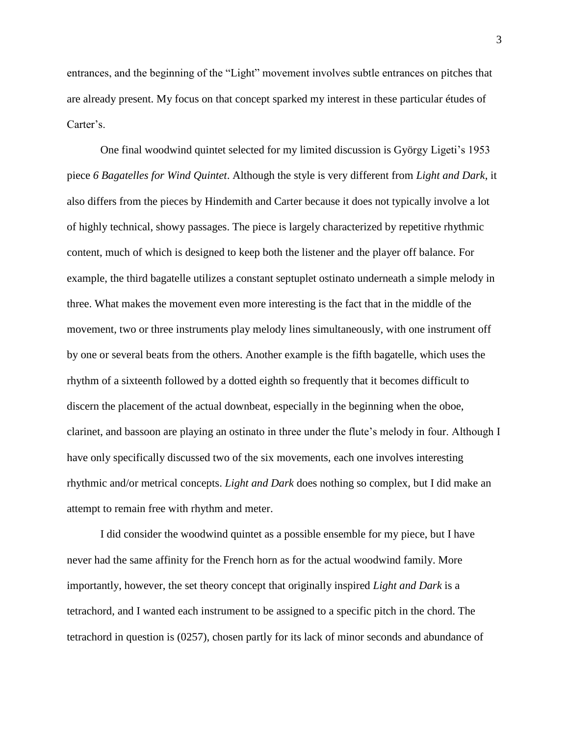entrances, and the beginning of the "Light" movement involves subtle entrances on pitches that are already present. My focus on that concept sparked my interest in these particular études of Carter's.

One final woodwind quintet selected for my limited discussion is György Ligeti's 1953 piece *6 Bagatelles for Wind Quintet*. Although the style is very different from *Light and Dark*, it also differs from the pieces by Hindemith and Carter because it does not typically involve a lot of highly technical, showy passages. The piece is largely characterized by repetitive rhythmic content, much of which is designed to keep both the listener and the player off balance. For example, the third bagatelle utilizes a constant septuplet ostinato underneath a simple melody in three. What makes the movement even more interesting is the fact that in the middle of the movement, two or three instruments play melody lines simultaneously, with one instrument off by one or several beats from the others. Another example is the fifth bagatelle, which uses the rhythm of a sixteenth followed by a dotted eighth so frequently that it becomes difficult to discern the placement of the actual downbeat, especially in the beginning when the oboe, clarinet, and bassoon are playing an ostinato in three under the flute's melody in four. Although I have only specifically discussed two of the six movements, each one involves interesting rhythmic and/or metrical concepts. *Light and Dark* does nothing so complex, but I did make an attempt to remain free with rhythm and meter.

I did consider the woodwind quintet as a possible ensemble for my piece, but I have never had the same affinity for the French horn as for the actual woodwind family. More importantly, however, the set theory concept that originally inspired *Light and Dark* is a tetrachord, and I wanted each instrument to be assigned to a specific pitch in the chord. The tetrachord in question is (0257), chosen partly for its lack of minor seconds and abundance of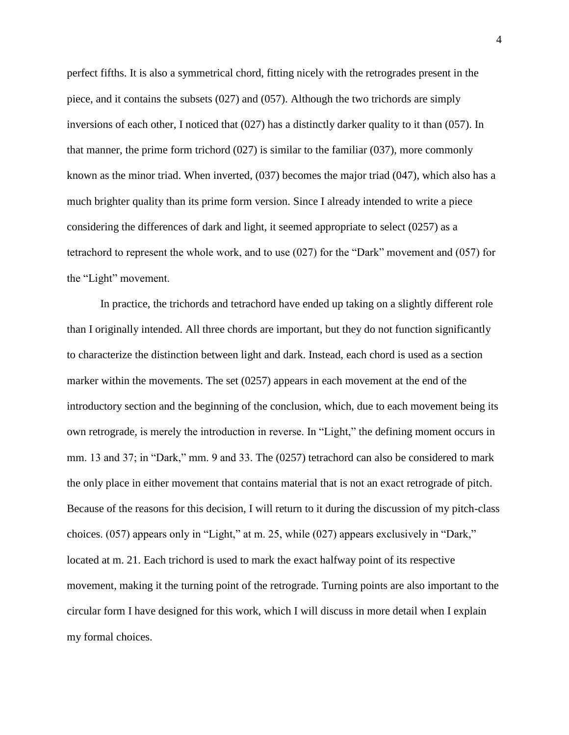perfect fifths. It is also a symmetrical chord, fitting nicely with the retrogrades present in the piece, and it contains the subsets (027) and (057). Although the two trichords are simply inversions of each other, I noticed that (027) has a distinctly darker quality to it than (057). In that manner, the prime form trichord (027) is similar to the familiar (037), more commonly known as the minor triad. When inverted,  $(037)$  becomes the major triad  $(047)$ , which also has a much brighter quality than its prime form version. Since I already intended to write a piece considering the differences of dark and light, it seemed appropriate to select (0257) as a tetrachord to represent the whole work, and to use (027) for the "Dark" movement and (057) for the "Light" movement.

In practice, the trichords and tetrachord have ended up taking on a slightly different role than I originally intended. All three chords are important, but they do not function significantly to characterize the distinction between light and dark. Instead, each chord is used as a section marker within the movements. The set (0257) appears in each movement at the end of the introductory section and the beginning of the conclusion, which, due to each movement being its own retrograde, is merely the introduction in reverse. In "Light," the defining moment occurs in mm. 13 and 37; in "Dark," mm. 9 and 33. The (0257) tetrachord can also be considered to mark the only place in either movement that contains material that is not an exact retrograde of pitch. Because of the reasons for this decision, I will return to it during the discussion of my pitch-class choices. (057) appears only in "Light," at m. 25, while (027) appears exclusively in "Dark," located at m. 21. Each trichord is used to mark the exact halfway point of its respective movement, making it the turning point of the retrograde. Turning points are also important to the circular form I have designed for this work, which I will discuss in more detail when I explain my formal choices.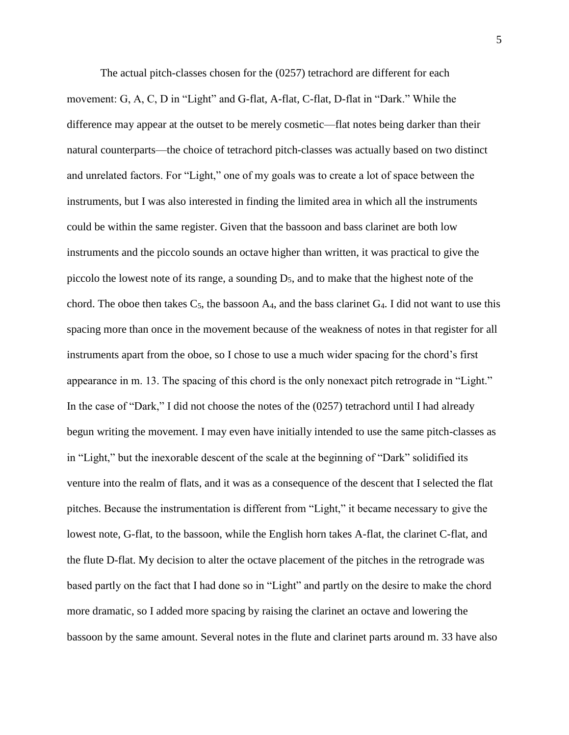The actual pitch-classes chosen for the (0257) tetrachord are different for each movement: G, A, C, D in "Light" and G-flat, A-flat, C-flat, D-flat in "Dark." While the difference may appear at the outset to be merely cosmetic—flat notes being darker than their natural counterparts—the choice of tetrachord pitch-classes was actually based on two distinct and unrelated factors. For "Light," one of my goals was to create a lot of space between the instruments, but I was also interested in finding the limited area in which all the instruments could be within the same register. Given that the bassoon and bass clarinet are both low instruments and the piccolo sounds an octave higher than written, it was practical to give the piccolo the lowest note of its range, a sounding  $D_5$ , and to make that the highest note of the chord. The oboe then takes  $C_5$ , the bassoon  $A_4$ , and the bass clarinet  $G_4$ . I did not want to use this spacing more than once in the movement because of the weakness of notes in that register for all instruments apart from the oboe, so I chose to use a much wider spacing for the chord's first appearance in m. 13. The spacing of this chord is the only nonexact pitch retrograde in "Light." In the case of "Dark," I did not choose the notes of the (0257) tetrachord until I had already begun writing the movement. I may even have initially intended to use the same pitch-classes as in "Light," but the inexorable descent of the scale at the beginning of "Dark" solidified its venture into the realm of flats, and it was as a consequence of the descent that I selected the flat pitches. Because the instrumentation is different from "Light," it became necessary to give the lowest note, G-flat, to the bassoon, while the English horn takes A-flat, the clarinet C-flat, and the flute D-flat. My decision to alter the octave placement of the pitches in the retrograde was based partly on the fact that I had done so in "Light" and partly on the desire to make the chord more dramatic, so I added more spacing by raising the clarinet an octave and lowering the bassoon by the same amount. Several notes in the flute and clarinet parts around m. 33 have also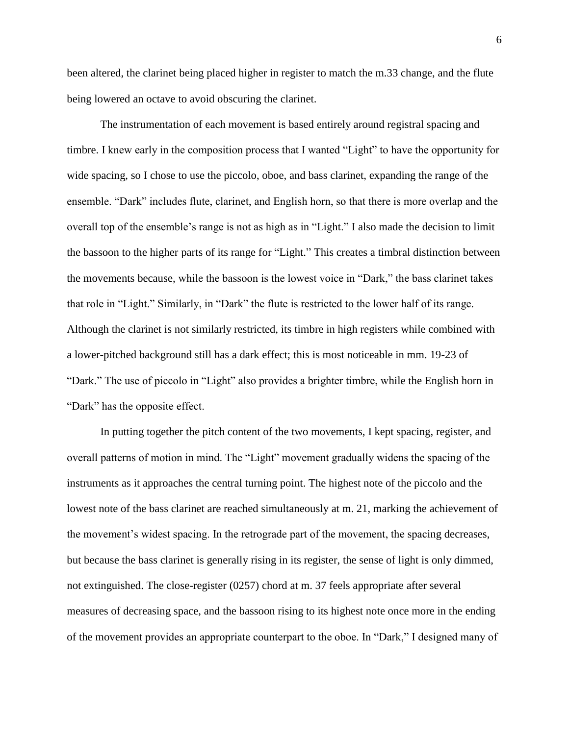been altered, the clarinet being placed higher in register to match the m.33 change, and the flute being lowered an octave to avoid obscuring the clarinet.

The instrumentation of each movement is based entirely around registral spacing and timbre. I knew early in the composition process that I wanted "Light" to have the opportunity for wide spacing, so I chose to use the piccolo, oboe, and bass clarinet, expanding the range of the ensemble. "Dark" includes flute, clarinet, and English horn, so that there is more overlap and the overall top of the ensemble's range is not as high as in "Light." I also made the decision to limit the bassoon to the higher parts of its range for "Light." This creates a timbral distinction between the movements because, while the bassoon is the lowest voice in "Dark," the bass clarinet takes that role in "Light." Similarly, in "Dark" the flute is restricted to the lower half of its range. Although the clarinet is not similarly restricted, its timbre in high registers while combined with a lower-pitched background still has a dark effect; this is most noticeable in mm. 19-23 of "Dark." The use of piccolo in "Light" also provides a brighter timbre, while the English horn in "Dark" has the opposite effect.

In putting together the pitch content of the two movements, I kept spacing, register, and overall patterns of motion in mind. The "Light" movement gradually widens the spacing of the instruments as it approaches the central turning point. The highest note of the piccolo and the lowest note of the bass clarinet are reached simultaneously at m. 21, marking the achievement of the movement's widest spacing. In the retrograde part of the movement, the spacing decreases, but because the bass clarinet is generally rising in its register, the sense of light is only dimmed, not extinguished. The close-register (0257) chord at m. 37 feels appropriate after several measures of decreasing space, and the bassoon rising to its highest note once more in the ending of the movement provides an appropriate counterpart to the oboe. In "Dark," I designed many of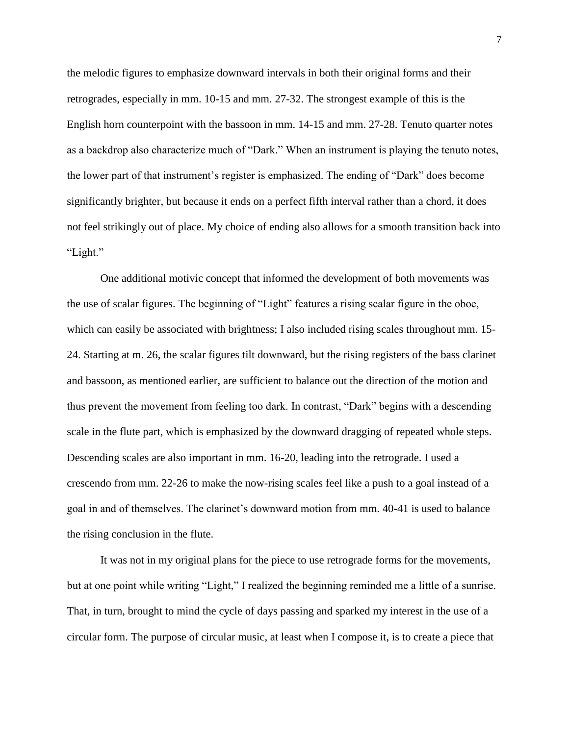the melodic figures to emphasize downward intervals in both their original forms and their retrogrades, especially in mm. 10-15 and mm. 27-32. The strongest example of this is the English horn counterpoint with the bassoon in mm. 14-15 and mm. 27-28. Tenuto quarter notes as a backdrop also characterize much of "Dark." When an instrument is playing the tenuto notes, the lower part of that instrument's register is emphasized. The ending of "Dark" does become significantly brighter, but because it ends on a perfect fifth interval rather than a chord, it does not feel strikingly out of place. My choice of ending also allows for a smooth transition back into "Light."

One additional motivic concept that informed the development of both movements was the use of scalar figures. The beginning of "Light" features a rising scalar figure in the oboe, which can easily be associated with brightness; I also included rising scales throughout mm. 15-24. Starting at m. 26, the scalar figures tilt downward, but the rising registers of the bass clarinet and bassoon, as mentioned earlier, are sufficient to balance out the direction of the motion and thus prevent the movement from feeling too dark. In contrast, "Dark" begins with a descending scale in the flute part, which is emphasized by the downward dragging of repeated whole steps. Descending scales are also important in mm. 16-20, leading into the retrograde. I used a crescendo from mm. 22-26 to make the now-rising scales feel like a push to a goal instead of a goal in and of themselves. The clarinet's downward motion from mm. 40-41 is used to balance the rising conclusion in the flute.

It was not in my original plans for the piece to use retrograde forms for the movements, but at one point while writing "Light," I realized the beginning reminded me a little of a sunrise. That, in turn, brought to mind the cycle of days passing and sparked my interest in the use of a circular form. The purpose of circular music, at least when I compose it, is to create a piece that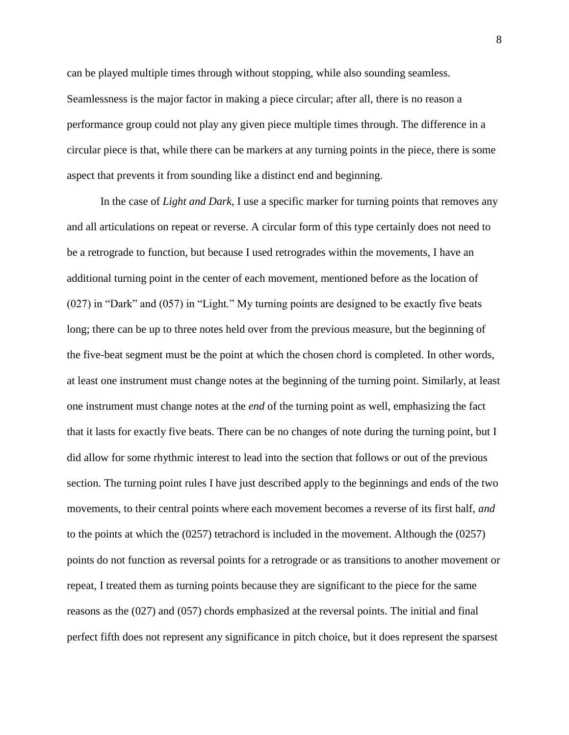can be played multiple times through without stopping, while also sounding seamless. Seamlessness is the major factor in making a piece circular; after all, there is no reason a performance group could not play any given piece multiple times through. The difference in a circular piece is that, while there can be markers at any turning points in the piece, there is some aspect that prevents it from sounding like a distinct end and beginning.

In the case of *Light and Dark*, I use a specific marker for turning points that removes any and all articulations on repeat or reverse. A circular form of this type certainly does not need to be a retrograde to function, but because I used retrogrades within the movements, I have an additional turning point in the center of each movement, mentioned before as the location of (027) in "Dark" and (057) in "Light." My turning points are designed to be exactly five beats long; there can be up to three notes held over from the previous measure, but the beginning of the five-beat segment must be the point at which the chosen chord is completed. In other words, at least one instrument must change notes at the beginning of the turning point. Similarly, at least one instrument must change notes at the *end* of the turning point as well, emphasizing the fact that it lasts for exactly five beats. There can be no changes of note during the turning point, but I did allow for some rhythmic interest to lead into the section that follows or out of the previous section. The turning point rules I have just described apply to the beginnings and ends of the two movements, to their central points where each movement becomes a reverse of its first half, *and* to the points at which the (0257) tetrachord is included in the movement. Although the (0257) points do not function as reversal points for a retrograde or as transitions to another movement or repeat, I treated them as turning points because they are significant to the piece for the same reasons as the (027) and (057) chords emphasized at the reversal points. The initial and final perfect fifth does not represent any significance in pitch choice, but it does represent the sparsest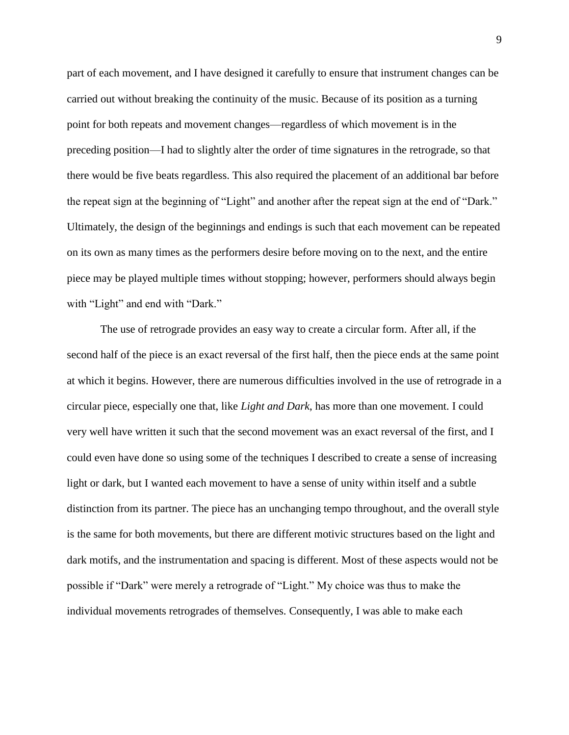part of each movement, and I have designed it carefully to ensure that instrument changes can be carried out without breaking the continuity of the music. Because of its position as a turning point for both repeats and movement changes—regardless of which movement is in the preceding position—I had to slightly alter the order of time signatures in the retrograde, so that there would be five beats regardless. This also required the placement of an additional bar before the repeat sign at the beginning of "Light" and another after the repeat sign at the end of "Dark." Ultimately, the design of the beginnings and endings is such that each movement can be repeated on its own as many times as the performers desire before moving on to the next, and the entire piece may be played multiple times without stopping; however, performers should always begin with "Light" and end with "Dark."

The use of retrograde provides an easy way to create a circular form. After all, if the second half of the piece is an exact reversal of the first half, then the piece ends at the same point at which it begins. However, there are numerous difficulties involved in the use of retrograde in a circular piece, especially one that, like *Light and Dark*, has more than one movement. I could very well have written it such that the second movement was an exact reversal of the first, and I could even have done so using some of the techniques I described to create a sense of increasing light or dark, but I wanted each movement to have a sense of unity within itself and a subtle distinction from its partner. The piece has an unchanging tempo throughout, and the overall style is the same for both movements, but there are different motivic structures based on the light and dark motifs, and the instrumentation and spacing is different. Most of these aspects would not be possible if "Dark" were merely a retrograde of "Light." My choice was thus to make the individual movements retrogrades of themselves. Consequently, I was able to make each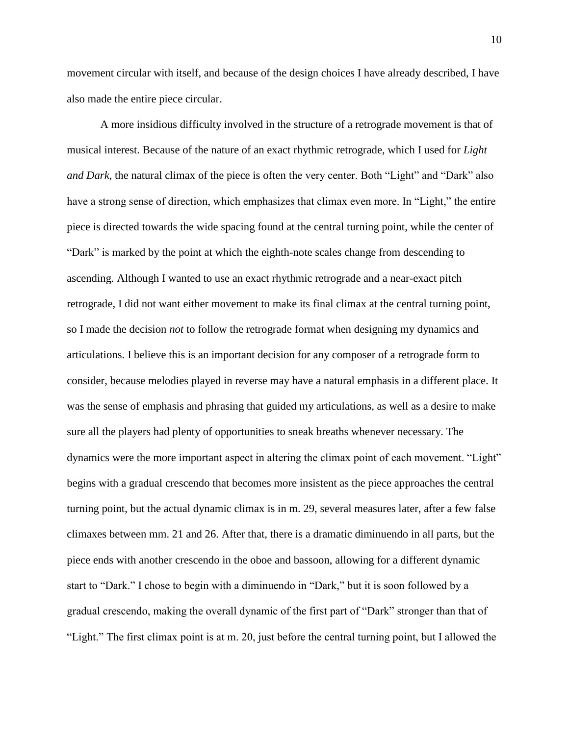movement circular with itself, and because of the design choices I have already described, I have also made the entire piece circular.

A more insidious difficulty involved in the structure of a retrograde movement is that of musical interest. Because of the nature of an exact rhythmic retrograde, which I used for *Light and Dark*, the natural climax of the piece is often the very center. Both "Light" and "Dark" also have a strong sense of direction, which emphasizes that climax even more. In "Light," the entire piece is directed towards the wide spacing found at the central turning point, while the center of "Dark" is marked by the point at which the eighth-note scales change from descending to ascending. Although I wanted to use an exact rhythmic retrograde and a near-exact pitch retrograde, I did not want either movement to make its final climax at the central turning point, so I made the decision *not* to follow the retrograde format when designing my dynamics and articulations. I believe this is an important decision for any composer of a retrograde form to consider, because melodies played in reverse may have a natural emphasis in a different place. It was the sense of emphasis and phrasing that guided my articulations, as well as a desire to make sure all the players had plenty of opportunities to sneak breaths whenever necessary. The dynamics were the more important aspect in altering the climax point of each movement. "Light" begins with a gradual crescendo that becomes more insistent as the piece approaches the central turning point, but the actual dynamic climax is in m. 29, several measures later, after a few false climaxes between mm. 21 and 26. After that, there is a dramatic diminuendo in all parts, but the piece ends with another crescendo in the oboe and bassoon, allowing for a different dynamic start to "Dark." I chose to begin with a diminuendo in "Dark," but it is soon followed by a gradual crescendo, making the overall dynamic of the first part of "Dark" stronger than that of "Light." The first climax point is at m. 20, just before the central turning point, but I allowed the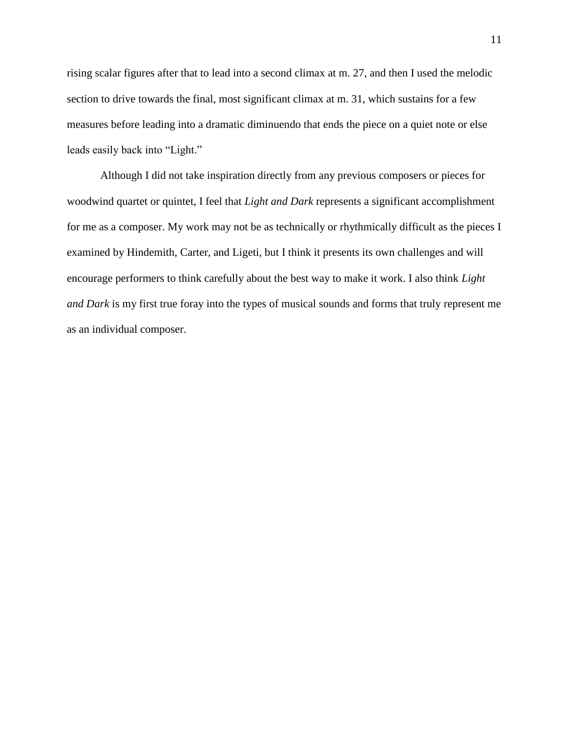rising scalar figures after that to lead into a second climax at m. 27, and then I used the melodic section to drive towards the final, most significant climax at m. 31, which sustains for a few measures before leading into a dramatic diminuendo that ends the piece on a quiet note or else leads easily back into "Light."

Although I did not take inspiration directly from any previous composers or pieces for woodwind quartet or quintet, I feel that *Light and Dark* represents a significant accomplishment for me as a composer. My work may not be as technically or rhythmically difficult as the pieces I examined by Hindemith, Carter, and Ligeti, but I think it presents its own challenges and will encourage performers to think carefully about the best way to make it work. I also think *Light and Dark* is my first true foray into the types of musical sounds and forms that truly represent me as an individual composer.